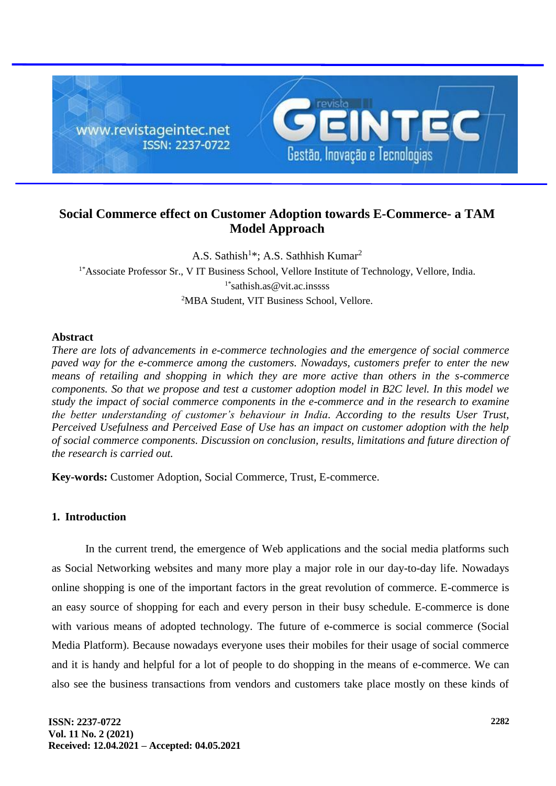

# **Social Commerce effect on Customer Adoption towards E-Commerce- a TAM Model Approach**

A.S. Sathish<sup>1\*</sup>; A.S. Sathhish Kumar<sup>2</sup> <sup>1\*</sup>Associate Professor Sr., V IT Business School, Vellore Institute of Technology, Vellore, India.  $1^*$ sathish.as@vit.ac.inssss <sup>2</sup>MBA Student, VIT Business School, Vellore.

# **Abstract**

*There are lots of advancements in e-commerce technologies and the emergence of social commerce paved way for the e-commerce among the customers. Nowadays, customers prefer to enter the new means of retailing and shopping in which they are more active than others in the s-commerce components. So that we propose and test a customer adoption model in B2C level. In this model we study the impact of social commerce components in the e-commerce and in the research to examine the better understanding of customer's behaviour in India. According to the results User Trust, Perceived Usefulness and Perceived Ease of Use has an impact on customer adoption with the help of social commerce components. Discussion on conclusion, results, limitations and future direction of the research is carried out.*

**Key-words:** Customer Adoption, Social Commerce, Trust, E-commerce.

# **1. Introduction**

In the current trend, the emergence of Web applications and the social media platforms such as Social Networking websites and many more play a major role in our day-to-day life. Nowadays online shopping is one of the important factors in the great revolution of commerce. E-commerce is an easy source of shopping for each and every person in their busy schedule. E-commerce is done with various means of adopted technology. The future of e-commerce is social commerce (Social Media Platform). Because nowadays everyone uses their mobiles for their usage of social commerce and it is handy and helpful for a lot of people to do shopping in the means of e-commerce. We can also see the business transactions from vendors and customers take place mostly on these kinds of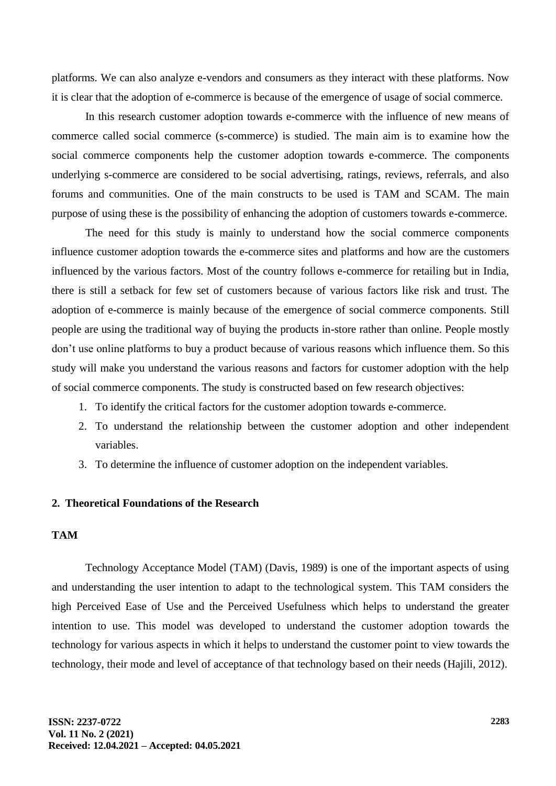platforms. We can also analyze e-vendors and consumers as they interact with these platforms. Now it is clear that the adoption of e-commerce is because of the emergence of usage of social commerce.

In this research customer adoption towards e-commerce with the influence of new means of commerce called social commerce (s-commerce) is studied. The main aim is to examine how the social commerce components help the customer adoption towards e-commerce. The components underlying s-commerce are considered to be social advertising, ratings, reviews, referrals, and also forums and communities. One of the main constructs to be used is TAM and SCAM. The main purpose of using these is the possibility of enhancing the adoption of customers towards e-commerce.

The need for this study is mainly to understand how the social commerce components influence customer adoption towards the e-commerce sites and platforms and how are the customers influenced by the various factors. Most of the country follows e-commerce for retailing but in India, there is still a setback for few set of customers because of various factors like risk and trust. The adoption of e-commerce is mainly because of the emergence of social commerce components. Still people are using the traditional way of buying the products in-store rather than online. People mostly don't use online platforms to buy a product because of various reasons which influence them. So this study will make you understand the various reasons and factors for customer adoption with the help of social commerce components. The study is constructed based on few research objectives:

- 1. To identify the critical factors for the customer adoption towards e-commerce.
- 2. To understand the relationship between the customer adoption and other independent variables.
- 3. To determine the influence of customer adoption on the independent variables.

#### **2. Theoretical Foundations of the Research**

### **TAM**

Technology Acceptance Model (TAM) (Davis, 1989) is one of the important aspects of using and understanding the user intention to adapt to the technological system. This TAM considers the high Perceived Ease of Use and the Perceived Usefulness which helps to understand the greater intention to use. This model was developed to understand the customer adoption towards the technology for various aspects in which it helps to understand the customer point to view towards the technology, their mode and level of acceptance of that technology based on their needs (Hajili, 2012).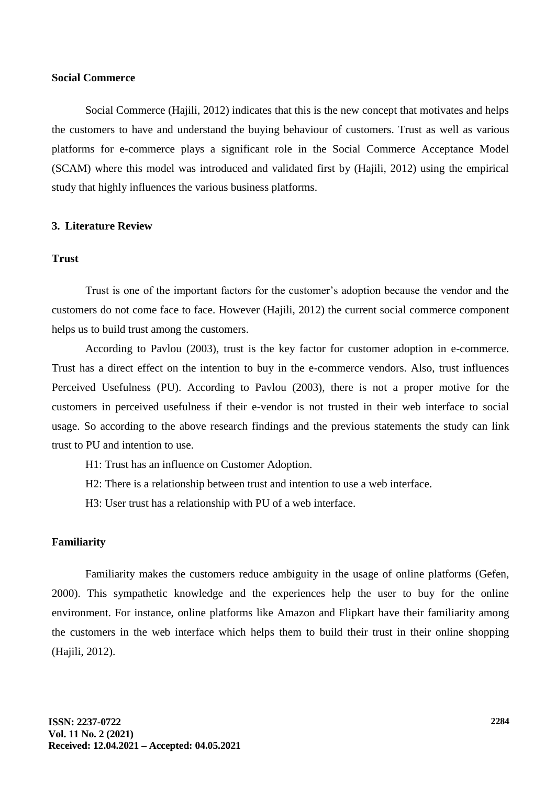## **Social Commerce**

Social Commerce (Hajili, 2012) indicates that this is the new concept that motivates and helps the customers to have and understand the buying behaviour of customers. Trust as well as various platforms for e-commerce plays a significant role in the Social Commerce Acceptance Model (SCAM) where this model was introduced and validated first by (Hajili, 2012) using the empirical study that highly influences the various business platforms.

#### **3. Literature Review**

#### **Trust**

Trust is one of the important factors for the customer's adoption because the vendor and the customers do not come face to face. However (Hajili, 2012) the current social commerce component helps us to build trust among the customers.

According to Pavlou (2003), trust is the key factor for customer adoption in e-commerce. Trust has a direct effect on the intention to buy in the e-commerce vendors. Also, trust influences Perceived Usefulness (PU). According to Pavlou (2003), there is not a proper motive for the customers in perceived usefulness if their e-vendor is not trusted in their web interface to social usage. So according to the above research findings and the previous statements the study can link trust to PU and intention to use.

- H1: Trust has an influence on Customer Adoption.
- H2: There is a relationship between trust and intention to use a web interface.
- H3: User trust has a relationship with PU of a web interface.

#### **Familiarity**

Familiarity makes the customers reduce ambiguity in the usage of online platforms (Gefen, 2000). This sympathetic knowledge and the experiences help the user to buy for the online environment. For instance, online platforms like Amazon and Flipkart have their familiarity among the customers in the web interface which helps them to build their trust in their online shopping (Hajili, 2012).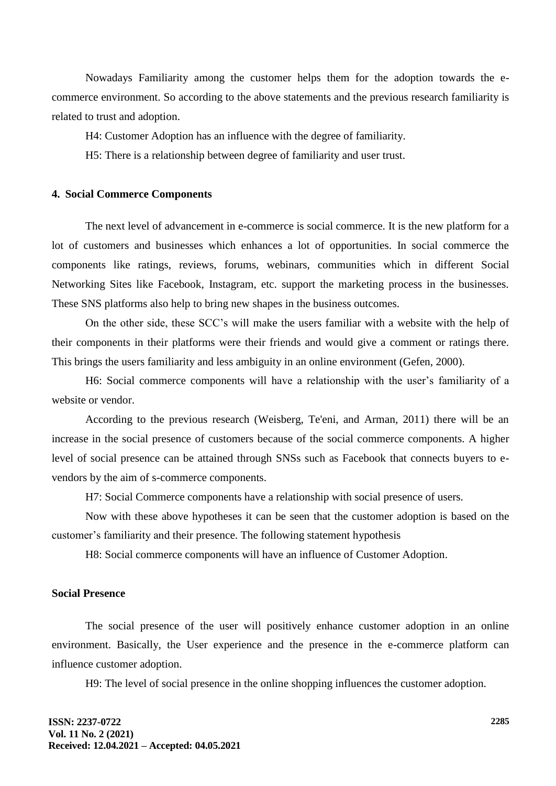Nowadays Familiarity among the customer helps them for the adoption towards the ecommerce environment. So according to the above statements and the previous research familiarity is related to trust and adoption.

H4: Customer Adoption has an influence with the degree of familiarity.

H5: There is a relationship between degree of familiarity and user trust.

#### **4. Social Commerce Components**

The next level of advancement in e-commerce is social commerce. It is the new platform for a lot of customers and businesses which enhances a lot of opportunities. In social commerce the components like ratings, reviews, forums, webinars, communities which in different Social Networking Sites like Facebook, Instagram, etc. support the marketing process in the businesses. These SNS platforms also help to bring new shapes in the business outcomes.

On the other side, these SCC's will make the users familiar with a website with the help of their components in their platforms were their friends and would give a comment or ratings there. This brings the users familiarity and less ambiguity in an online environment (Gefen, 2000).

H6: Social commerce components will have a relationship with the user's familiarity of a website or vendor.

According to the previous research (Weisberg, Te'eni, and Arman, 2011) there will be an increase in the social presence of customers because of the social commerce components. A higher level of social presence can be attained through SNSs such as Facebook that connects buyers to evendors by the aim of s-commerce components.

H7: Social Commerce components have a relationship with social presence of users.

Now with these above hypotheses it can be seen that the customer adoption is based on the customer's familiarity and their presence. The following statement hypothesis

H8: Social commerce components will have an influence of Customer Adoption.

## **Social Presence**

The social presence of the user will positively enhance customer adoption in an online environment. Basically, the User experience and the presence in the e-commerce platform can influence customer adoption.

H9: The level of social presence in the online shopping influences the customer adoption.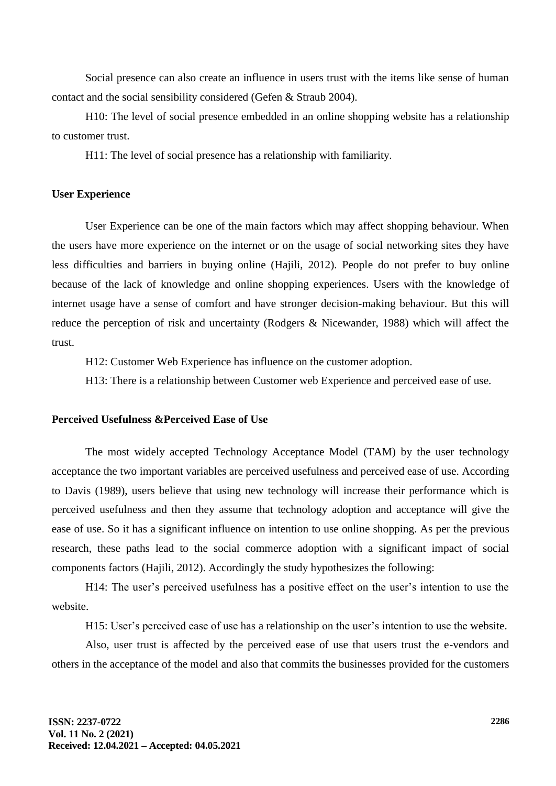Social presence can also create an influence in users trust with the items like sense of human contact and the social sensibility considered (Gefen & Straub 2004).

H10: The level of social presence embedded in an online shopping website has a relationship to customer trust.

H11: The level of social presence has a relationship with familiarity.

## **User Experience**

User Experience can be one of the main factors which may affect shopping behaviour. When the users have more experience on the internet or on the usage of social networking sites they have less difficulties and barriers in buying online (Hajili, 2012). People do not prefer to buy online because of the lack of knowledge and online shopping experiences. Users with the knowledge of internet usage have a sense of comfort and have stronger decision-making behaviour. But this will reduce the perception of risk and uncertainty (Rodgers & Nicewander, 1988) which will affect the trust.

H12: Customer Web Experience has influence on the customer adoption.

H13: There is a relationship between Customer web Experience and perceived ease of use.

#### **Perceived Usefulness &Perceived Ease of Use**

The most widely accepted Technology Acceptance Model (TAM) by the user technology acceptance the two important variables are perceived usefulness and perceived ease of use. According to Davis (1989), users believe that using new technology will increase their performance which is perceived usefulness and then they assume that technology adoption and acceptance will give the ease of use. So it has a significant influence on intention to use online shopping. As per the previous research, these paths lead to the social commerce adoption with a significant impact of social components factors (Hajili, 2012). Accordingly the study hypothesizes the following:

H14: The user's perceived usefulness has a positive effect on the user's intention to use the website.

H15: User's perceived ease of use has a relationship on the user's intention to use the website.

Also, user trust is affected by the perceived ease of use that users trust the e-vendors and others in the acceptance of the model and also that commits the businesses provided for the customers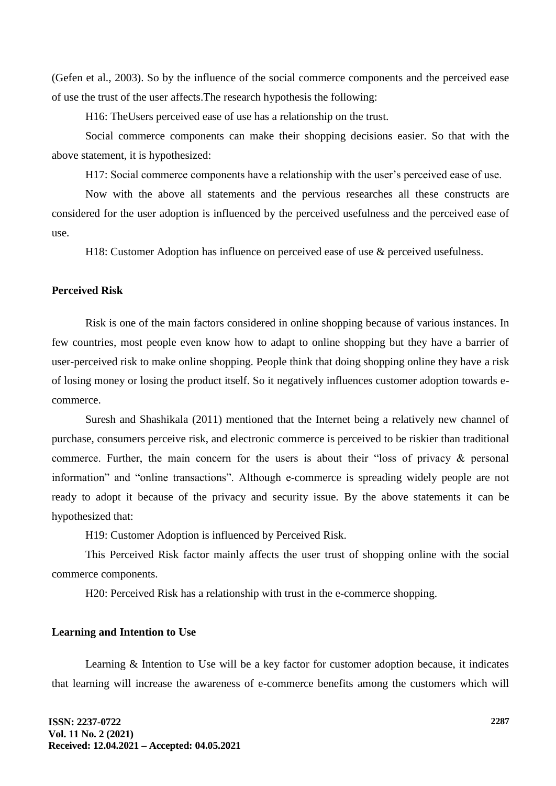(Gefen et al., 2003). So by the influence of the social commerce components and the perceived ease of use the trust of the user affects.The research hypothesis the following:

H16: TheUsers perceived ease of use has a relationship on the trust.

Social commerce components can make their shopping decisions easier. So that with the above statement, it is hypothesized:

H17: Social commerce components have a relationship with the user's perceived ease of use.

Now with the above all statements and the pervious researches all these constructs are considered for the user adoption is influenced by the perceived usefulness and the perceived ease of use.

H18: Customer Adoption has influence on perceived ease of use & perceived usefulness.

## **Perceived Risk**

Risk is one of the main factors considered in online shopping because of various instances. In few countries, most people even know how to adapt to online shopping but they have a barrier of user-perceived risk to make online shopping. People think that doing shopping online they have a risk of losing money or losing the product itself. So it negatively influences customer adoption towards ecommerce.

Suresh and Shashikala (2011) mentioned that the Internet being a relatively new channel of purchase, consumers perceive risk, and electronic commerce is perceived to be riskier than traditional commerce. Further, the main concern for the users is about their "loss of privacy & personal information" and "online transactions". Although e-commerce is spreading widely people are not ready to adopt it because of the privacy and security issue. By the above statements it can be hypothesized that:

H19: Customer Adoption is influenced by Perceived Risk.

This Perceived Risk factor mainly affects the user trust of shopping online with the social commerce components.

H20: Perceived Risk has a relationship with trust in the e-commerce shopping.

#### **Learning and Intention to Use**

Learning & Intention to Use will be a key factor for customer adoption because, it indicates that learning will increase the awareness of e-commerce benefits among the customers which will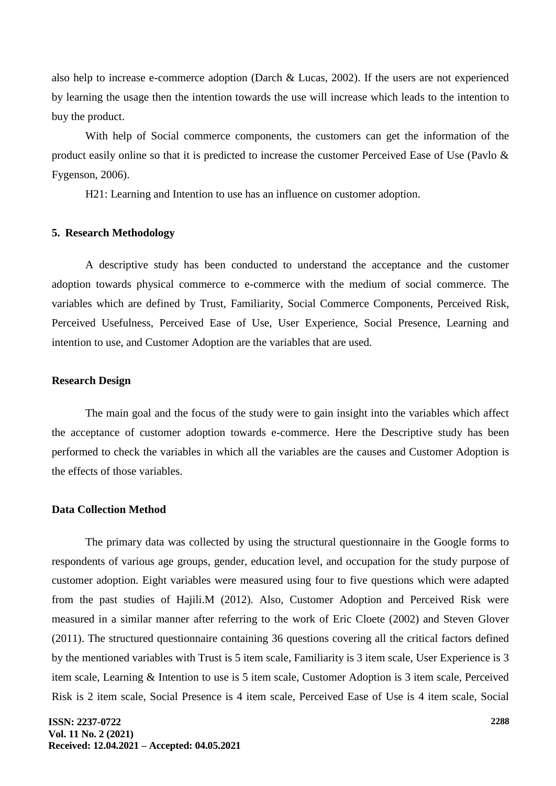also help to increase e-commerce adoption (Darch & Lucas, 2002). If the users are not experienced by learning the usage then the intention towards the use will increase which leads to the intention to buy the product.

With help of Social commerce components, the customers can get the information of the product easily online so that it is predicted to increase the customer Perceived Ease of Use (Pavlo & Fygenson, 2006).

H21: Learning and Intention to use has an influence on customer adoption.

#### **5. Research Methodology**

A descriptive study has been conducted to understand the acceptance and the customer adoption towards physical commerce to e-commerce with the medium of social commerce. The variables which are defined by Trust, Familiarity, Social Commerce Components, Perceived Risk, Perceived Usefulness, Perceived Ease of Use, User Experience, Social Presence, Learning and intention to use, and Customer Adoption are the variables that are used.

## **Research Design**

The main goal and the focus of the study were to gain insight into the variables which affect the acceptance of customer adoption towards e-commerce. Here the Descriptive study has been performed to check the variables in which all the variables are the causes and Customer Adoption is the effects of those variables.

# **Data Collection Method**

The primary data was collected by using the structural questionnaire in the Google forms to respondents of various age groups, gender, education level, and occupation for the study purpose of customer adoption. Eight variables were measured using four to five questions which were adapted from the past studies of Hajili.M (2012). Also, Customer Adoption and Perceived Risk were measured in a similar manner after referring to the work of Eric Cloete (2002) and Steven Glover (2011). The structured questionnaire containing 36 questions covering all the critical factors defined by the mentioned variables with Trust is 5 item scale, Familiarity is 3 item scale, User Experience is 3 item scale, Learning & Intention to use is 5 item scale, Customer Adoption is 3 item scale, Perceived Risk is 2 item scale, Social Presence is 4 item scale, Perceived Ease of Use is 4 item scale, Social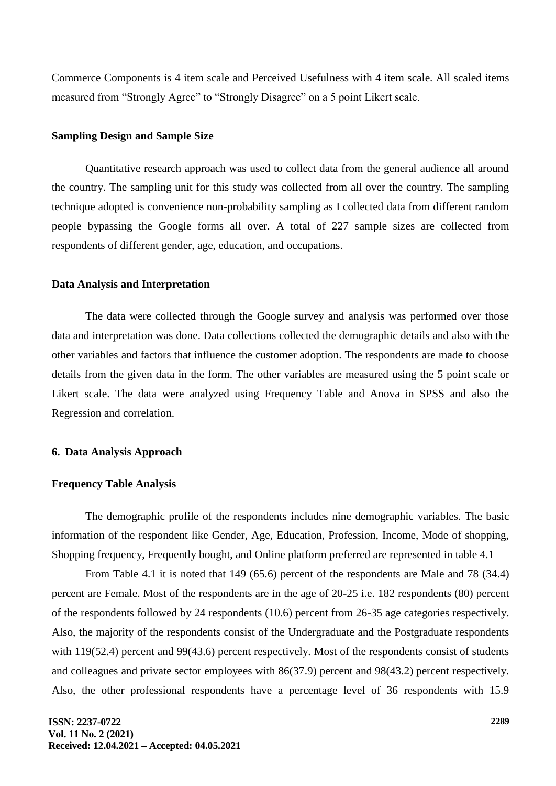Commerce Components is 4 item scale and Perceived Usefulness with 4 item scale. All scaled items measured from "Strongly Agree" to "Strongly Disagree" on a 5 point Likert scale.

### **Sampling Design and Sample Size**

Quantitative research approach was used to collect data from the general audience all around the country. The sampling unit for this study was collected from all over the country. The sampling technique adopted is convenience non-probability sampling as I collected data from different random people bypassing the Google forms all over. A total of 227 sample sizes are collected from respondents of different gender, age, education, and occupations.

#### **Data Analysis and Interpretation**

The data were collected through the Google survey and analysis was performed over those data and interpretation was done. Data collections collected the demographic details and also with the other variables and factors that influence the customer adoption. The respondents are made to choose details from the given data in the form. The other variables are measured using the 5 point scale or Likert scale. The data were analyzed using Frequency Table and Anova in SPSS and also the Regression and correlation.

### **6. Data Analysis Approach**

### **Frequency Table Analysis**

The demographic profile of the respondents includes nine demographic variables. The basic information of the respondent like Gender, Age, Education, Profession, Income, Mode of shopping, Shopping frequency, Frequently bought, and Online platform preferred are represented in table 4.1

From Table 4.1 it is noted that 149 (65.6) percent of the respondents are Male and 78 (34.4) percent are Female. Most of the respondents are in the age of 20-25 i.e. 182 respondents (80) percent of the respondents followed by 24 respondents (10.6) percent from 26-35 age categories respectively. Also, the majority of the respondents consist of the Undergraduate and the Postgraduate respondents with 119(52.4) percent and 99(43.6) percent respectively. Most of the respondents consist of students and colleagues and private sector employees with 86(37.9) percent and 98(43.2) percent respectively. Also, the other professional respondents have a percentage level of 36 respondents with 15.9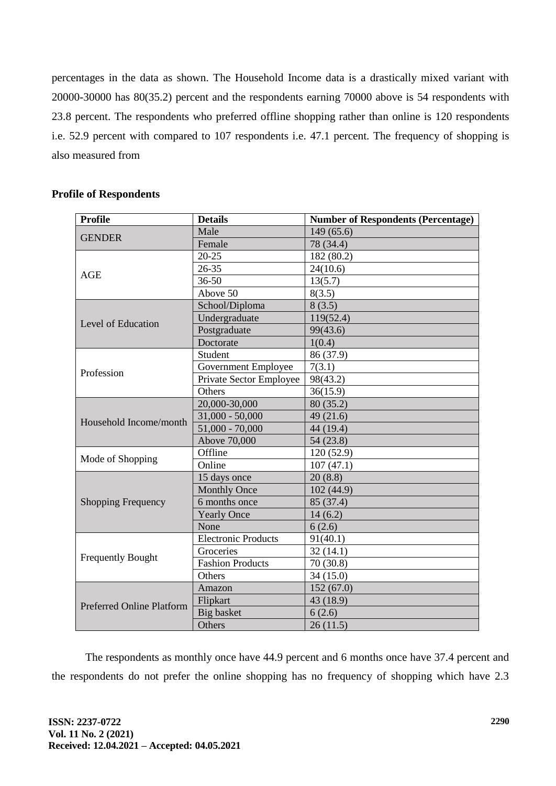percentages in the data as shown. The Household Income data is a drastically mixed variant with 20000-30000 has 80(35.2) percent and the respondents earning 70000 above is 54 respondents with 23.8 percent. The respondents who preferred offline shopping rather than online is 120 respondents i.e. 52.9 percent with compared to 107 respondents i.e. 47.1 percent. The frequency of shopping is also measured from

| <b>Profile</b>                   | <b>Details</b>             | <b>Number of Respondents (Percentage)</b> |  |  |
|----------------------------------|----------------------------|-------------------------------------------|--|--|
| <b>GENDER</b>                    | Male                       | 149(65.6)                                 |  |  |
|                                  | Female                     | 78 (34.4)                                 |  |  |
|                                  | $20 - 25$                  | 182 (80.2)                                |  |  |
| <b>AGE</b>                       | 26-35                      | 24(10.6)                                  |  |  |
|                                  | 36-50                      | 13(5.7)                                   |  |  |
|                                  | Above 50                   | 8(3.5)                                    |  |  |
|                                  | School/Diploma             | 8(3.5)                                    |  |  |
| Level of Education               | Undergraduate              | 119(52.4)                                 |  |  |
|                                  | Postgraduate               | 99(43.6)                                  |  |  |
|                                  | Doctorate                  | 1(0.4)                                    |  |  |
|                                  | Student                    | 86 (37.9)                                 |  |  |
| Profession                       | Government Employee        | 7(3.1)                                    |  |  |
|                                  | Private Sector Employee    | 98(43.2)                                  |  |  |
|                                  | Others                     | 36(15.9)                                  |  |  |
|                                  | 20,000-30,000              | 80 (35.2)                                 |  |  |
| Household Income/month           | $31,000 - 50,000$          | 49(21.6)                                  |  |  |
|                                  | $51,000 - 70,000$          | 44 (19.4)                                 |  |  |
|                                  | Above 70,000               | 54 (23.8)                                 |  |  |
| Mode of Shopping                 | Offline                    | 120 (52.9)                                |  |  |
|                                  | Online                     | 107(47.1)                                 |  |  |
|                                  | 15 days once               | 20(8.8)                                   |  |  |
|                                  | <b>Monthly Once</b>        | 102 (44.9)                                |  |  |
| <b>Shopping Frequency</b>        | 6 months once              | 85 (37.4)                                 |  |  |
|                                  | <b>Yearly Once</b>         | 14(6.2)                                   |  |  |
|                                  | None                       | 6(2.6)                                    |  |  |
|                                  | <b>Electronic Products</b> | 91(40.1)                                  |  |  |
| <b>Frequently Bought</b>         | Groceries                  | 32(14.1)                                  |  |  |
|                                  | <b>Fashion Products</b>    | 70(30.8)                                  |  |  |
|                                  | Others                     | 34 (15.0)                                 |  |  |
|                                  | Amazon                     | 152(67.0)                                 |  |  |
| <b>Preferred Online Platform</b> | Flipkart                   | 43 (18.9)                                 |  |  |
|                                  | <b>Big basket</b>          | 6(2.6)                                    |  |  |
|                                  | Others                     | 26(11.5)                                  |  |  |

# **Profile of Respondents**

The respondents as monthly once have 44.9 percent and 6 months once have 37.4 percent and the respondents do not prefer the online shopping has no frequency of shopping which have 2.3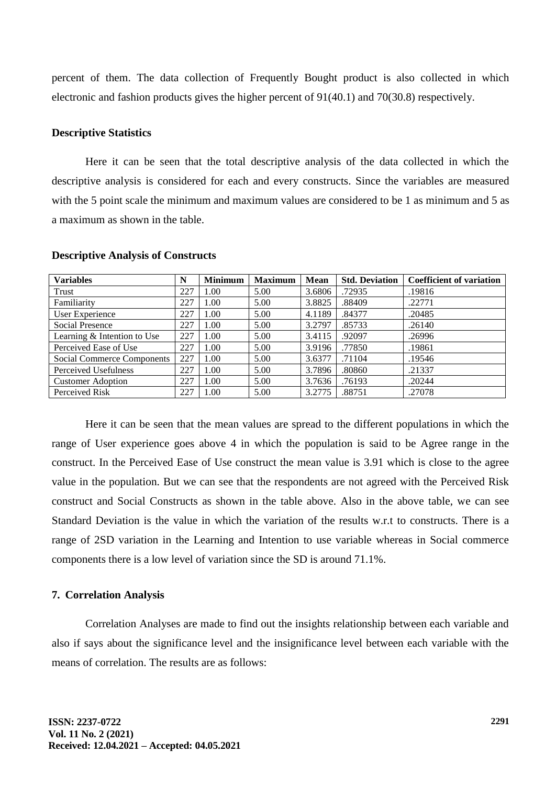percent of them. The data collection of Frequently Bought product is also collected in which electronic and fashion products gives the higher percent of 91(40.1) and 70(30.8) respectively.

### **Descriptive Statistics**

Here it can be seen that the total descriptive analysis of the data collected in which the descriptive analysis is considered for each and every constructs. Since the variables are measured with the 5 point scale the minimum and maximum values are considered to be 1 as minimum and 5 as a maximum as shown in the table.

| <b>Variables</b>            | N   | <b>Minimum</b> | <b>Maximum</b> | <b>Mean</b> | <b>Std. Deviation</b> | <b>Coefficient of variation</b> |
|-----------------------------|-----|----------------|----------------|-------------|-----------------------|---------------------------------|
| Trust                       | 227 | 1.00           | 5.00           | 3.6806      | .72935                | .19816                          |
| Familiarity                 | 227 | 1.00           | 5.00           | 3.8825      | .88409                | .22771                          |
| User Experience             | 227 | 1.00           | 5.00           | 4.1189      | .84377                | .20485                          |
| <b>Social Presence</b>      | 227 | 1.00           | 5.00           | 3.2797      | .85733                | .26140                          |
| Learning & Intention to Use | 227 | 1.00           | 5.00           | 3.4115      | .92097                | .26996                          |
| Perceived Ease of Use       | 227 | 1.00           | 5.00           | 3.9196      | .77850                | .19861                          |
| Social Commerce Components  | 227 | 1.00           | 5.00           | 3.6377      | .71104                | .19546                          |
| Perceived Usefulness        | 227 | 1.00           | 5.00           | 3.7896      | .80860                | .21337                          |
| <b>Customer Adoption</b>    | 227 | 1.00           | 5.00           | 3.7636      | .76193                | .20244                          |
| Perceived Risk              | 227 | 1.00           | 5.00           | 3.2775      | .88751                | .27078                          |

#### **Descriptive Analysis of Constructs**

Here it can be seen that the mean values are spread to the different populations in which the range of User experience goes above 4 in which the population is said to be Agree range in the construct. In the Perceived Ease of Use construct the mean value is 3.91 which is close to the agree value in the population. But we can see that the respondents are not agreed with the Perceived Risk construct and Social Constructs as shown in the table above. Also in the above table, we can see Standard Deviation is the value in which the variation of the results w.r.t to constructs. There is a range of 2SD variation in the Learning and Intention to use variable whereas in Social commerce components there is a low level of variation since the SD is around 71.1%.

#### **7. Correlation Analysis**

Correlation Analyses are made to find out the insights relationship between each variable and also if says about the significance level and the insignificance level between each variable with the means of correlation. The results are as follows: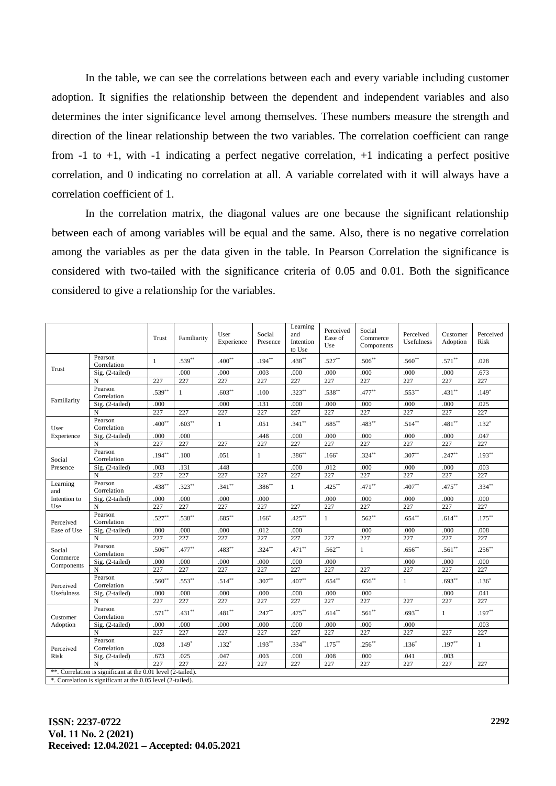In the table, we can see the correlations between each and every variable including customer adoption. It signifies the relationship between the dependent and independent variables and also determines the inter significance level among themselves. These numbers measure the strength and direction of the linear relationship between the two variables. The correlation coefficient can range from -1 to +1, with -1 indicating a perfect negative correlation, +1 indicating a perfect positive correlation, and 0 indicating no correlation at all. A variable correlated with it will always have a correlation coefficient of 1.

In the correlation matrix, the diagonal values are one because the significant relationship between each of among variables will be equal and the same. Also, there is no negative correlation among the variables as per the data given in the table. In Pearson Correlation the significance is considered with two-tailed with the significance criteria of 0.05 and 0.01. Both the significance considered to give a relationship for the variables.

|                                                              |                                                             | Trust     | Familiarity  | User<br>Experience | Social<br>Presence | Learning<br>and<br>Intention<br>to Use | Perceived<br>Ease of<br>Use | Social<br>Commerce<br>Components | Perceived<br><b>Usefulness</b> | Customer<br>Adoption | Perceived<br>Risk |
|--------------------------------------------------------------|-------------------------------------------------------------|-----------|--------------|--------------------|--------------------|----------------------------------------|-----------------------------|----------------------------------|--------------------------------|----------------------|-------------------|
| Trust                                                        | Pearson<br>Correlation                                      | 1         | $.539**$     | $.400**$           | $.194***$          | $.438***$                              | $.527**$                    | $.506***$                        | $.560**$                       | $.571***$            | .028              |
|                                                              | Sig. (2-tailed)                                             |           | .000         | .000               | .003               | .000                                   | .000                        | .000                             | .000                           | .000                 | .673              |
|                                                              | N                                                           | 227       | 227          | 227                | 227                | 227                                    | 227                         | 227                              | 227                            | 227                  | 227               |
|                                                              | Pearson<br>Correlation                                      | $.539**$  | $\mathbf{1}$ | $.603***$          | .100               | $.323***$                              | $.538***$                   | $.477***$                        | $.553***$                      | $.431***$            | $.149*$           |
| Familiarity                                                  | Sig. (2-tailed)                                             | .000      |              | .000               | .131               | .000                                   | .000                        | .000                             | .000                           | .000                 | .025              |
|                                                              | N                                                           | 227       | 227          | 227                | 227                | 227                                    | 227                         | 227                              | 227                            | 227                  | 227               |
| User                                                         | Pearson<br>Correlation                                      | $.400**$  | $.603**$     | $\mathbf{1}$       | .051               | $.341**$                               | $.685**$                    | $.483**$                         | $.514***$                      | $.481**$             | $.132*$           |
| Experience                                                   | Sig. (2-tailed)                                             | .000      | .000         |                    | .448               | .000                                   | .000                        | .000                             | .000                           | .000                 | .047              |
|                                                              | N                                                           | 227       | 227          | 227                | 227                | 227                                    | 227                         | 227                              | 227                            | 227                  | 227               |
| Social                                                       | Pearson<br>Correlation                                      | $.194***$ | .100         | .051               | $\mathbf{1}$       | $.386**$                               | $.166*$                     | $.324***$                        | $.307**$                       | $.247**$             | $.193**$          |
| Presence                                                     | Sig. (2-tailed)                                             | .003      | .131         | .448               |                    | .000                                   | .012                        | .000                             | .000                           | .000                 | .003              |
|                                                              | N                                                           | 227       | 227          | 227                | 227                | 227                                    | 227                         | 227                              | 227                            | 227                  | 227               |
| Learning<br>and                                              | Pearson<br>Correlation                                      | $.438***$ | $.323***$    | $.341**$           | $.386***$          | $\mathbf{1}$                           | $.425***$                   | $.471***$                        | $.407**$                       | $.475***$            | $.334**$          |
| Intention to                                                 | Sig. (2-tailed)                                             | .000      | .000         | .000               | .000               |                                        | .000                        | .000                             | .000                           | .000                 | .000              |
| Use                                                          | N                                                           | 227       | 227          | 227                | 227                | 227                                    | 227                         | 227                              | 227                            | 227                  | 227               |
| Perceived                                                    | Pearson<br>Correlation                                      | $.527**$  | $.538**$     | $.685***$          | $.166*$            | $.425***$                              | $\mathbf{1}$                | $.562**$                         | $.654***$                      | $.614***$            | $.175^{\ast\ast}$ |
| Ease of Use                                                  | Sig. (2-tailed)                                             | .000      | .000         | .000               | .012               | .000                                   |                             | .000                             | .000                           | .000                 | .008              |
|                                                              | N                                                           | 227       | 227          | 227                | 227                | 227                                    | 227                         | 227                              | 227                            | 227                  | 227               |
| Social<br>Commerce                                           | Pearson<br>Correlation                                      | $.506**$  | $.477**$     | $.483**$           | $.324***$          | $.471***$                              | $.562**$                    | 1                                | $.656***$                      | $.561**$             | $.256***$         |
| Components                                                   | Sig. (2-tailed)                                             | .000      | .000         | .000               | .000               | .000                                   | .000                        |                                  | .000                           | .000                 | .000              |
|                                                              | N                                                           | 227       | 227          | 227                | 227                | 227                                    | 227                         | 227                              | 227                            | 227                  | 227               |
| Perceived                                                    | Pearson<br>Correlation                                      | $.560**$  | $.553***$    | $.514***$          | $.307**$           | $.407**$                               | $.654***$                   | $.656***$                        | $\mathbf{1}$                   | $.693***$            | $.136*$           |
| Usefulness                                                   | Sig. (2-tailed)                                             | .000      | .000         | .000               | .000               | .000                                   | .000                        | .000                             |                                | .000                 | .041              |
|                                                              | N                                                           | 227       | 227          | 227                | 227                | 227                                    | 227                         | 227                              | 227                            | 227                  | 227               |
| Customer<br>Adoption                                         | Pearson<br>Correlation                                      | $.571***$ | $.431***$    | $.481**$           | $.247**$           | $.475***$                              | $.614***$                   | $.561**$                         | $.693***$                      | $\mathbf{1}$         | $.197**$          |
|                                                              | Sig. (2-tailed)                                             | .000      | .000         | .000               | .000               | .000                                   | .000                        | .000                             | .000                           |                      | .003              |
|                                                              | N                                                           | 227       | 227          | 227                | 227                | 227                                    | 227                         | 227                              | 227                            | 227                  | 227               |
| Perceived                                                    | Pearson<br>Correlation                                      | .028      | $.149*$      | $.132*$            | $.193**$           | $.334***$                              | $.175***$                   | $.256^{**}$                      | $.136*$                        | $.197**$             | 1                 |
| <b>Risk</b>                                                  | Sig. (2-tailed)                                             | .673      | .025         | .047               | .003               | .000                                   | .008                        | .000                             | .041                           | .003                 |                   |
|                                                              | N                                                           | 227       | 227          | 227                | 227                | 227                                    | 227                         | 227                              | 227                            | 227                  | 227               |
| **. Correlation is significant at the 0.01 level (2-tailed). |                                                             |           |              |                    |                    |                                        |                             |                                  |                                |                      |                   |
|                                                              | *. Correlation is significant at the 0.05 level (2-tailed). |           |              |                    |                    |                                        |                             |                                  |                                |                      |                   |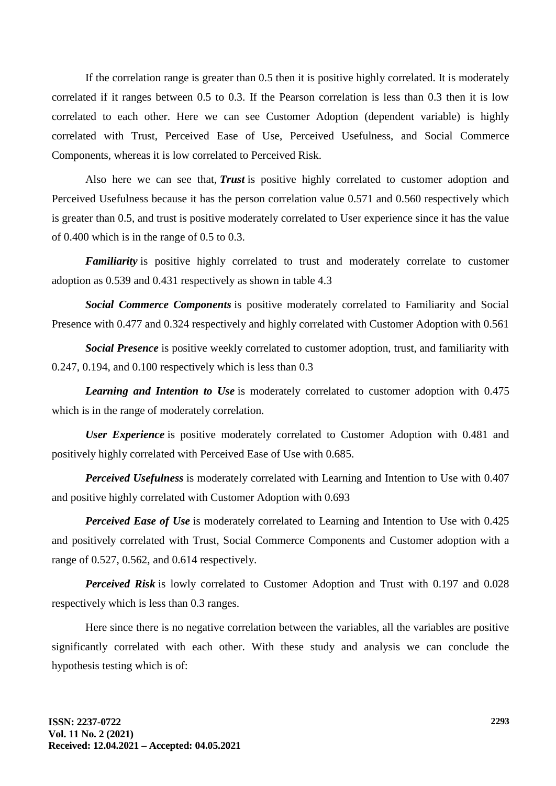If the correlation range is greater than 0.5 then it is positive highly correlated. It is moderately correlated if it ranges between 0.5 to 0.3. If the Pearson correlation is less than 0.3 then it is low correlated to each other. Here we can see Customer Adoption (dependent variable) is highly correlated with Trust, Perceived Ease of Use, Perceived Usefulness, and Social Commerce Components, whereas it is low correlated to Perceived Risk.

Also here we can see that, *Trust* is positive highly correlated to customer adoption and Perceived Usefulness because it has the person correlation value 0.571 and 0.560 respectively which is greater than 0.5, and trust is positive moderately correlated to User experience since it has the value of 0.400 which is in the range of 0.5 to 0.3.

*Familiarity* is positive highly correlated to trust and moderately correlate to customer adoption as 0.539 and 0.431 respectively as shown in table 4.3

*Social Commerce Components* is positive moderately correlated to Familiarity and Social Presence with 0.477 and 0.324 respectively and highly correlated with Customer Adoption with 0.561

*Social Presence* is positive weekly correlated to customer adoption, trust, and familiarity with 0.247, 0.194, and 0.100 respectively which is less than 0.3

*Learning and Intention to Use* is moderately correlated to customer adoption with 0.475 which is in the range of moderately correlation.

*User Experience* is positive moderately correlated to Customer Adoption with 0.481 and positively highly correlated with Perceived Ease of Use with 0.685.

*Perceived Usefulness* is moderately correlated with Learning and Intention to Use with 0.407 and positive highly correlated with Customer Adoption with 0.693

*Perceived Ease of Use* is moderately correlated to Learning and Intention to Use with 0.425 and positively correlated with Trust, Social Commerce Components and Customer adoption with a range of 0.527, 0.562, and 0.614 respectively.

*Perceived Risk* is lowly correlated to Customer Adoption and Trust with 0.197 and 0.028 respectively which is less than 0.3 ranges.

Here since there is no negative correlation between the variables, all the variables are positive significantly correlated with each other. With these study and analysis we can conclude the hypothesis testing which is of: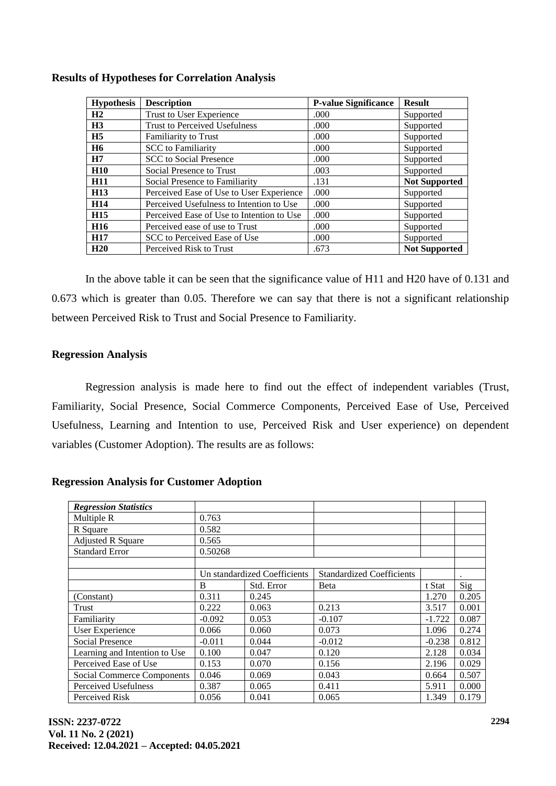| <b>Hypothesis</b> | <b>Description</b>                        | <b>P-value Significance</b> | <b>Result</b>        |
|-------------------|-------------------------------------------|-----------------------------|----------------------|
| H <sub>2</sub>    | Trust to User Experience                  | .000                        | Supported            |
| H <sub>3</sub>    | <b>Trust to Perceived Usefulness</b>      | .000                        | Supported            |
| H <sub>5</sub>    | <b>Familiarity to Trust</b>               | .000                        | Supported            |
| <b>H6</b>         | <b>SCC</b> to Familiarity                 | .000.                       | Supported            |
| H7                | <b>SCC</b> to Social Presence             | .000                        | Supported            |
| <b>H10</b>        | Social Presence to Trust                  | .003                        | Supported            |
| <b>H11</b>        | Social Presence to Familiarity            | .131                        | <b>Not Supported</b> |
| H <sub>13</sub>   | Perceived Ease of Use to User Experience  | .000                        | Supported            |
| H <sub>14</sub>   | Perceived Usefulness to Intention to Use  | .000.                       | Supported            |
| H <sub>15</sub>   | Perceived Ease of Use to Intention to Use | .000                        | Supported            |
| H <sub>16</sub>   | Perceived ease of use to Trust            | .000                        | Supported            |
| <b>H17</b>        | SCC to Perceived Ease of Use              | .000                        | Supported            |
| H20               | Perceived Risk to Trust                   | .673                        | <b>Not Supported</b> |

# **Results of Hypotheses for Correlation Analysis**

In the above table it can be seen that the significance value of H11 and H20 have of 0.131 and 0.673 which is greater than 0.05. Therefore we can say that there is not a significant relationship between Perceived Risk to Trust and Social Presence to Familiarity.

# **Regression Analysis**

Regression analysis is made here to find out the effect of independent variables (Trust, Familiarity, Social Presence, Social Commerce Components, Perceived Ease of Use, Perceived Usefulness, Learning and Intention to use, Perceived Risk and User experience) on dependent variables (Customer Adoption). The results are as follows:

## *Regression Statistics* Multiple R 0.763 R Square  $0.582$ Adjusted R Square 0.565 Standard Error 0.50268 Un standardized Coefficients | Standardized Coefficients B Std. Error Beta t Stat Sig (Constant) 0.311 0.245 1.270 0.205 Trust 0.222 0.063 0.213 3.517 0.001 Familiarity 1.0.092 0.053 -0.107 -1.722 0.087 User Experience 0.066 0.060 0.073 1.096 0.274 Social Presence  $\begin{vmatrix} -0.011 & 0.044 & -0.012 \end{vmatrix}$  -0.012  $\begin{vmatrix} -0.238 & 0.812 \end{vmatrix}$ Learning and Intention to Use 0.100 0.047 0.120 2.128 0.034 Perceived Ease of Use  $\begin{array}{|l|l|l|l|l|} \hline 0.070 & 0.156 \hline \end{array}$  2.196 0.029 Social Commerce Components 0.046 0.069 0.043 0.664 0.507 Perceived Usefulness 0.387 0.065 0.411 5.911 0.000 Perceived Risk 0.056 0.041 0.065 1.349 0.179

**Regression Analysis for Customer Adoption**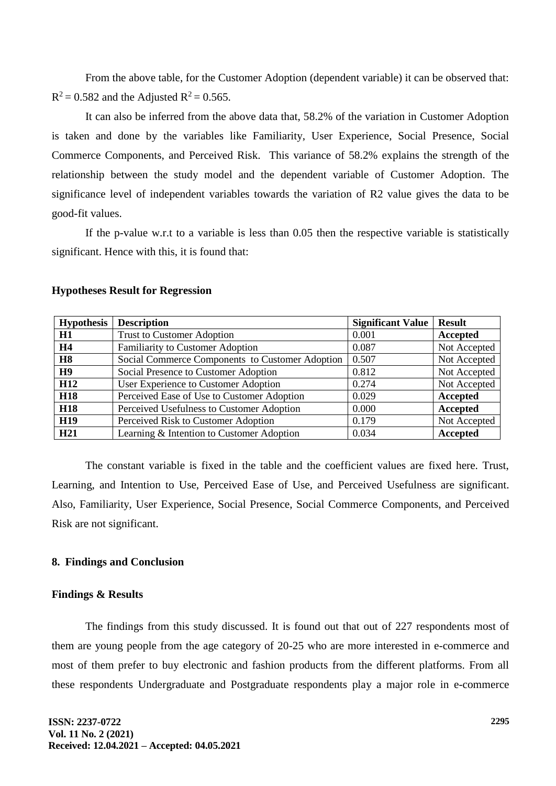From the above table, for the Customer Adoption (dependent variable) it can be observed that:  $R^2 = 0.582$  and the Adjusted  $R^2 = 0.565$ .

It can also be inferred from the above data that, 58.2% of the variation in Customer Adoption is taken and done by the variables like Familiarity, User Experience, Social Presence, Social Commerce Components, and Perceived Risk. This variance of 58.2% explains the strength of the relationship between the study model and the dependent variable of Customer Adoption. The significance level of independent variables towards the variation of R2 value gives the data to be good-fit values.

If the p-value w.r.t to a variable is less than 0.05 then the respective variable is statistically significant. Hence with this, it is found that:

| <b>Hypothesis</b> | <b>Description</b>                              | <b>Significant Value</b> | <b>Result</b> |
|-------------------|-------------------------------------------------|--------------------------|---------------|
| H1                | <b>Trust to Customer Adoption</b>               | 0.001                    | Accepted      |
| <b>H4</b>         | <b>Familiarity to Customer Adoption</b>         | 0.087                    | Not Accepted  |
| <b>H8</b>         | Social Commerce Components to Customer Adoption | 0.507                    | Not Accepted  |
| H <sub>9</sub>    | Social Presence to Customer Adoption            | 0.812                    | Not Accepted  |
| H <sub>12</sub>   | User Experience to Customer Adoption            | 0.274                    | Not Accepted  |
| <b>H18</b>        | Perceived Ease of Use to Customer Adoption      | 0.029                    | Accepted      |
| <b>H18</b>        | Perceived Usefulness to Customer Adoption       | 0.000                    | Accepted      |
| <b>H19</b>        | Perceived Risk to Customer Adoption             | 0.179                    | Not Accepted  |
| H <sub>21</sub>   | Learning & Intention to Customer Adoption       | 0.034                    | Accepted      |

#### **Hypotheses Result for Regression**

The constant variable is fixed in the table and the coefficient values are fixed here. Trust, Learning, and Intention to Use, Perceived Ease of Use, and Perceived Usefulness are significant. Also, Familiarity, User Experience, Social Presence, Social Commerce Components, and Perceived Risk are not significant.

#### **8. Findings and Conclusion**

#### **Findings & Results**

The findings from this study discussed. It is found out that out of 227 respondents most of them are young people from the age category of 20-25 who are more interested in e-commerce and most of them prefer to buy electronic and fashion products from the different platforms. From all these respondents Undergraduate and Postgraduate respondents play a major role in e-commerce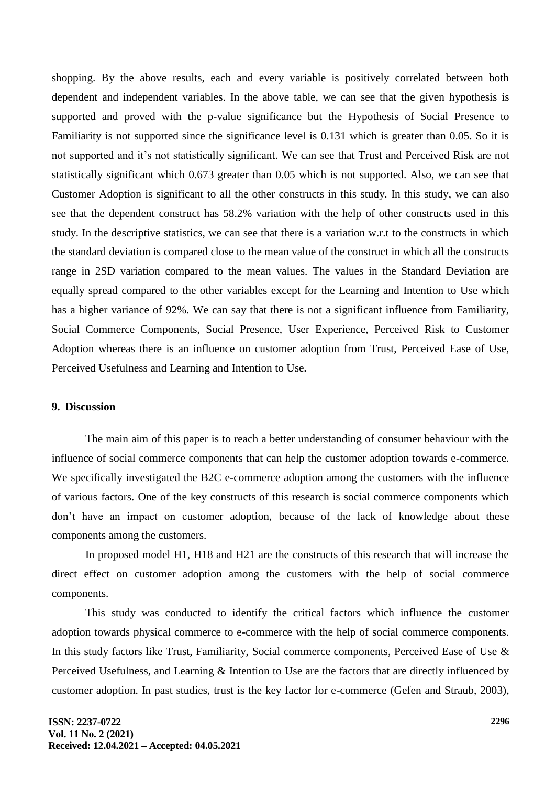shopping. By the above results, each and every variable is positively correlated between both dependent and independent variables. In the above table, we can see that the given hypothesis is supported and proved with the p-value significance but the Hypothesis of Social Presence to Familiarity is not supported since the significance level is 0.131 which is greater than 0.05. So it is not supported and it's not statistically significant. We can see that Trust and Perceived Risk are not statistically significant which 0.673 greater than 0.05 which is not supported. Also, we can see that Customer Adoption is significant to all the other constructs in this study. In this study, we can also see that the dependent construct has 58.2% variation with the help of other constructs used in this study. In the descriptive statistics, we can see that there is a variation w.r.t to the constructs in which the standard deviation is compared close to the mean value of the construct in which all the constructs range in 2SD variation compared to the mean values. The values in the Standard Deviation are equally spread compared to the other variables except for the Learning and Intention to Use which has a higher variance of 92%. We can say that there is not a significant influence from Familiarity, Social Commerce Components, Social Presence, User Experience, Perceived Risk to Customer Adoption whereas there is an influence on customer adoption from Trust, Perceived Ease of Use, Perceived Usefulness and Learning and Intention to Use.

## **9. Discussion**

The main aim of this paper is to reach a better understanding of consumer behaviour with the influence of social commerce components that can help the customer adoption towards e-commerce. We specifically investigated the B2C e-commerce adoption among the customers with the influence of various factors. One of the key constructs of this research is social commerce components which don't have an impact on customer adoption, because of the lack of knowledge about these components among the customers.

In proposed model H1, H18 and H21 are the constructs of this research that will increase the direct effect on customer adoption among the customers with the help of social commerce components.

This study was conducted to identify the critical factors which influence the customer adoption towards physical commerce to e-commerce with the help of social commerce components. In this study factors like Trust, Familiarity, Social commerce components, Perceived Ease of Use & Perceived Usefulness, and Learning & Intention to Use are the factors that are directly influenced by customer adoption. In past studies, trust is the key factor for e-commerce (Gefen and Straub, 2003),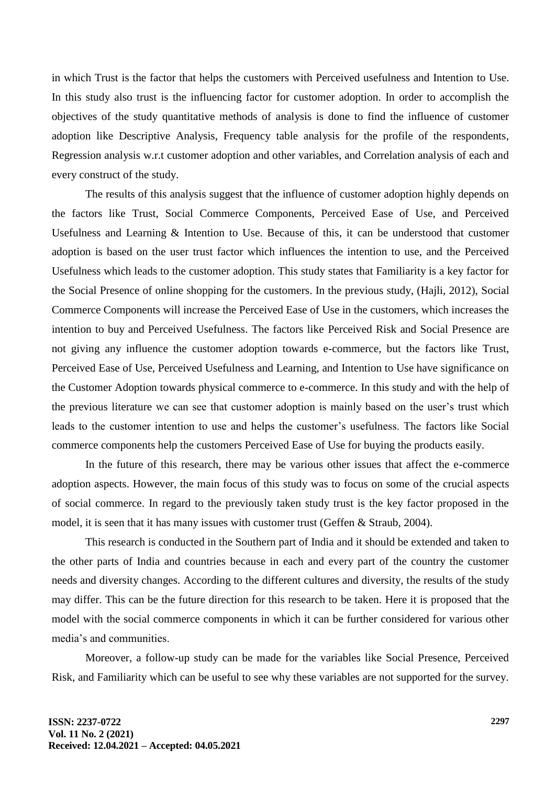in which Trust is the factor that helps the customers with Perceived usefulness and Intention to Use. In this study also trust is the influencing factor for customer adoption. In order to accomplish the objectives of the study quantitative methods of analysis is done to find the influence of customer adoption like Descriptive Analysis, Frequency table analysis for the profile of the respondents, Regression analysis w.r.t customer adoption and other variables, and Correlation analysis of each and every construct of the study.

The results of this analysis suggest that the influence of customer adoption highly depends on the factors like Trust, Social Commerce Components, Perceived Ease of Use, and Perceived Usefulness and Learning & Intention to Use. Because of this, it can be understood that customer adoption is based on the user trust factor which influences the intention to use, and the Perceived Usefulness which leads to the customer adoption. This study states that Familiarity is a key factor for the Social Presence of online shopping for the customers. In the previous study, (Hajli, 2012), Social Commerce Components will increase the Perceived Ease of Use in the customers, which increases the intention to buy and Perceived Usefulness. The factors like Perceived Risk and Social Presence are not giving any influence the customer adoption towards e-commerce, but the factors like Trust, Perceived Ease of Use, Perceived Usefulness and Learning, and Intention to Use have significance on the Customer Adoption towards physical commerce to e-commerce. In this study and with the help of the previous literature we can see that customer adoption is mainly based on the user's trust which leads to the customer intention to use and helps the customer's usefulness. The factors like Social commerce components help the customers Perceived Ease of Use for buying the products easily.

In the future of this research, there may be various other issues that affect the e-commerce adoption aspects. However, the main focus of this study was to focus on some of the crucial aspects of social commerce. In regard to the previously taken study trust is the key factor proposed in the model, it is seen that it has many issues with customer trust (Geffen & Straub, 2004).

This research is conducted in the Southern part of India and it should be extended and taken to the other parts of India and countries because in each and every part of the country the customer needs and diversity changes. According to the different cultures and diversity, the results of the study may differ. This can be the future direction for this research to be taken. Here it is proposed that the model with the social commerce components in which it can be further considered for various other media's and communities.

Moreover, a follow-up study can be made for the variables like Social Presence, Perceived Risk, and Familiarity which can be useful to see why these variables are not supported for the survey.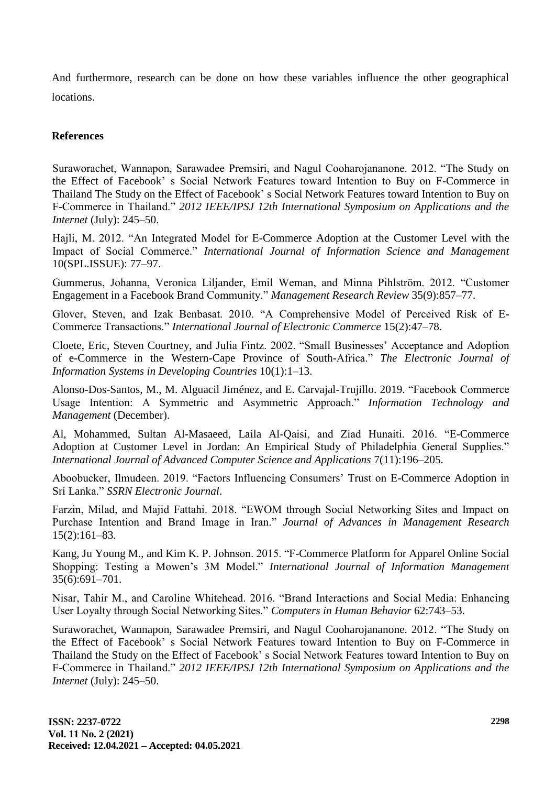And furthermore, research can be done on how these variables influence the other geographical locations.

# **References**

Suraworachet, Wannapon, Sarawadee Premsiri, and Nagul Cooharojananone. 2012. "The Study on the Effect of Facebook' s Social Network Features toward Intention to Buy on F-Commerce in Thailand The Study on the Effect of Facebook' s Social Network Features toward Intention to Buy on F-Commerce in Thailand." *2012 IEEE/IPSJ 12th International Symposium on Applications and the Internet* (July): 245–50.

Hajli, M. 2012. "An Integrated Model for E-Commerce Adoption at the Customer Level with the Impact of Social Commerce." *International Journal of Information Science and Management* 10(SPL.ISSUE): 77–97.

Gummerus, Johanna, Veronica Liljander, Emil Weman, and Minna Pihlström. 2012. "Customer Engagement in a Facebook Brand Community." *Management Research Review* 35(9):857–77.

Glover, Steven, and Izak Benbasat. 2010. "A Comprehensive Model of Perceived Risk of E-Commerce Transactions." *International Journal of Electronic Commerce* 15(2):47–78.

Cloete, Eric, Steven Courtney, and Julia Fintz. 2002. "Small Businesses' Acceptance and Adoption of e-Commerce in the Western-Cape Province of South-Africa." *The Electronic Journal of Information Systems in Developing Countries* 10(1):1–13.

Alonso-Dos-Santos, M., M. Alguacil Jiménez, and E. Carvajal-Trujillo. 2019. "Facebook Commerce Usage Intention: A Symmetric and Asymmetric Approach." *Information Technology and Management* (December).

Al, Mohammed, Sultan Al-Masaeed, Laila Al-Qaisi, and Ziad Hunaiti. 2016. "E-Commerce Adoption at Customer Level in Jordan: An Empirical Study of Philadelphia General Supplies." *International Journal of Advanced Computer Science and Applications* 7(11):196–205.

Aboobucker, Ilmudeen. 2019. "Factors Influencing Consumers' Trust on E-Commerce Adoption in Sri Lanka." *SSRN Electronic Journal*.

Farzin, Milad, and Majid Fattahi. 2018. "EWOM through Social Networking Sites and Impact on Purchase Intention and Brand Image in Iran." *Journal of Advances in Management Research* 15(2):161–83.

Kang, Ju Young M., and Kim K. P. Johnson. 2015. "F-Commerce Platform for Apparel Online Social Shopping: Testing a Mowen's 3M Model." *International Journal of Information Management* 35(6):691–701.

Nisar, Tahir M., and Caroline Whitehead. 2016. "Brand Interactions and Social Media: Enhancing User Loyalty through Social Networking Sites." *Computers in Human Behavior* 62:743–53.

Suraworachet, Wannapon, Sarawadee Premsiri, and Nagul Cooharojananone. 2012. "The Study on the Effect of Facebook' s Social Network Features toward Intention to Buy on F-Commerce in Thailand the Study on the Effect of Facebook' s Social Network Features toward Intention to Buy on F-Commerce in Thailand." *2012 IEEE/IPSJ 12th International Symposium on Applications and the Internet* (July): 245–50.